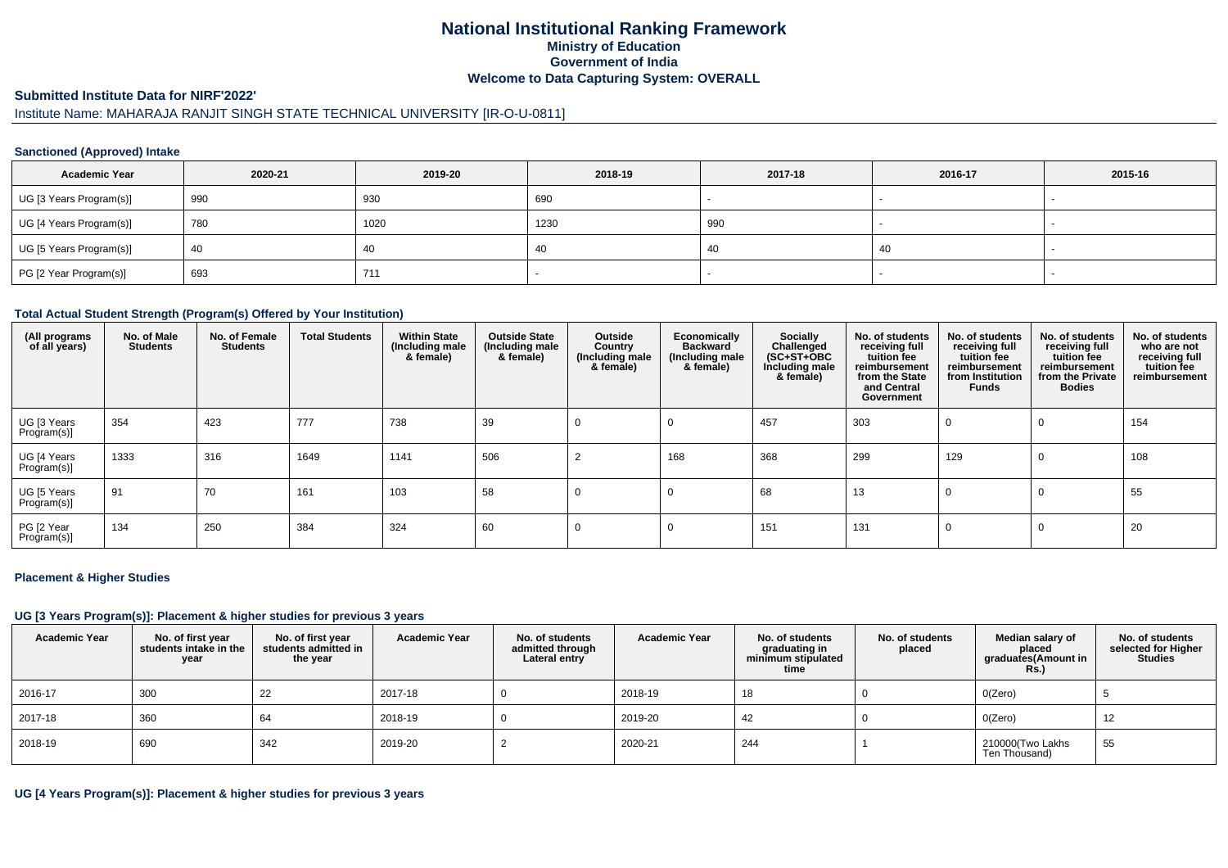## **National Institutional Ranking FrameworkMinistry of Education Government of IndiaWelcome to Data Capturing System: OVERALL**

### **Submitted Institute Data for NIRF'2022'**

# Institute Name: MAHARAJA RANJIT SINGH STATE TECHNICAL UNIVERSITY [IR-O-U-0811]

### **Sanctioned (Approved) Intake**

| <b>Academic Year</b>    | 2020-21 | 2019-20 | 2018-19 | 2017-18 | 2016-17 | 2015-16 |
|-------------------------|---------|---------|---------|---------|---------|---------|
| UG [3 Years Program(s)] | 990     | 930     | 690     |         |         |         |
| UG [4 Years Program(s)] | 780     | 1020    | 1230    | 990     |         |         |
| UG [5 Years Program(s)] | 40      | 40      | -40     | 40      | 40      | -       |
| PG [2 Year Program(s)]  | 693     | 711     |         |         |         |         |

#### **Total Actual Student Strength (Program(s) Offered by Your Institution)**

| (All programs<br>of all years) | No. of Male<br><b>Students</b> | No. of Female<br><b>Students</b> | <b>Total Students</b> | <b>Within State</b><br>(Including male<br>& female) | <b>Outside State</b><br>(Including male<br>& female) | Outside<br>Country<br>(Including male<br>& female) | Economically<br><b>Backward</b><br>(Including male<br>& female) | <b>Socially</b><br>Challenged<br>$(SC+ST+OBC)$<br>Including male<br>& female) | No. of students<br>receiving full<br>tuition fee<br>reimbursement<br>from the State<br>and Central<br>Government | No. of students<br>receiving full<br>tuition fee<br>reimbursement<br>from Institution<br><b>Funds</b> | No. of students<br>receiving full<br>tuition fee<br>reimbursement<br>from the Private<br><b>Bodies</b> | No. of students<br>who are not<br>receiving full<br>tuition fee<br>reimbursement |
|--------------------------------|--------------------------------|----------------------------------|-----------------------|-----------------------------------------------------|------------------------------------------------------|----------------------------------------------------|-----------------------------------------------------------------|-------------------------------------------------------------------------------|------------------------------------------------------------------------------------------------------------------|-------------------------------------------------------------------------------------------------------|--------------------------------------------------------------------------------------------------------|----------------------------------------------------------------------------------|
| UG [3 Years<br>Program(s)]     | 354                            | 423                              | 777                   | 738                                                 | 39                                                   |                                                    |                                                                 | 457                                                                           | 303                                                                                                              |                                                                                                       | $\Omega$                                                                                               | 154                                                                              |
| UG [4 Years<br>Program(s)]     | 1333                           | 316                              | 1649                  | 1141                                                | 506                                                  |                                                    | 168                                                             | 368                                                                           | 299                                                                                                              | 129                                                                                                   | 0                                                                                                      | 108                                                                              |
| UG [5 Years<br>Program(s)]     | 91                             | 70                               | 161                   | 103                                                 | 58                                                   |                                                    |                                                                 | 68                                                                            | 13                                                                                                               | 0                                                                                                     | 0                                                                                                      | 55                                                                               |
| PG [2 Year<br>Program(s)]      | 134                            | 250                              | 384                   | 324                                                 | 60                                                   |                                                    |                                                                 | 151                                                                           | 131                                                                                                              | 0                                                                                                     | 0                                                                                                      | 20                                                                               |

#### **Placement & Higher Studies**

#### **UG [3 Years Program(s)]: Placement & higher studies for previous 3 years**

| <b>Academic Year</b> | No. of first year<br>students intake in the<br>year | No. of first vear<br>students admitted in<br>the year | <b>Academic Year</b> | No. of students<br>admitted through<br>Lateral entry | <b>Academic Year</b> | No. of students<br>graduating in<br>minimum stipulated<br>time | No. of students<br>placed | Median salary of<br>placed<br>graduates(Amount in<br><b>Rs.)</b> | No. of students<br>selected for Higher<br><b>Studies</b> |
|----------------------|-----------------------------------------------------|-------------------------------------------------------|----------------------|------------------------------------------------------|----------------------|----------------------------------------------------------------|---------------------------|------------------------------------------------------------------|----------------------------------------------------------|
| 2016-17              | 300                                                 | 22                                                    | 2017-18              |                                                      | 2018-19              | 18                                                             |                           | O(Zero)                                                          |                                                          |
| 2017-18              | 360                                                 | 64                                                    | 2018-19              |                                                      | 2019-20              | 42                                                             |                           | O(Zero)                                                          | 12                                                       |
| 2018-19              | 690                                                 | 342                                                   | 2019-20              |                                                      | 2020-21              | 244                                                            |                           | 210000(Two Lakhs<br>Ten Thousand)                                | 55                                                       |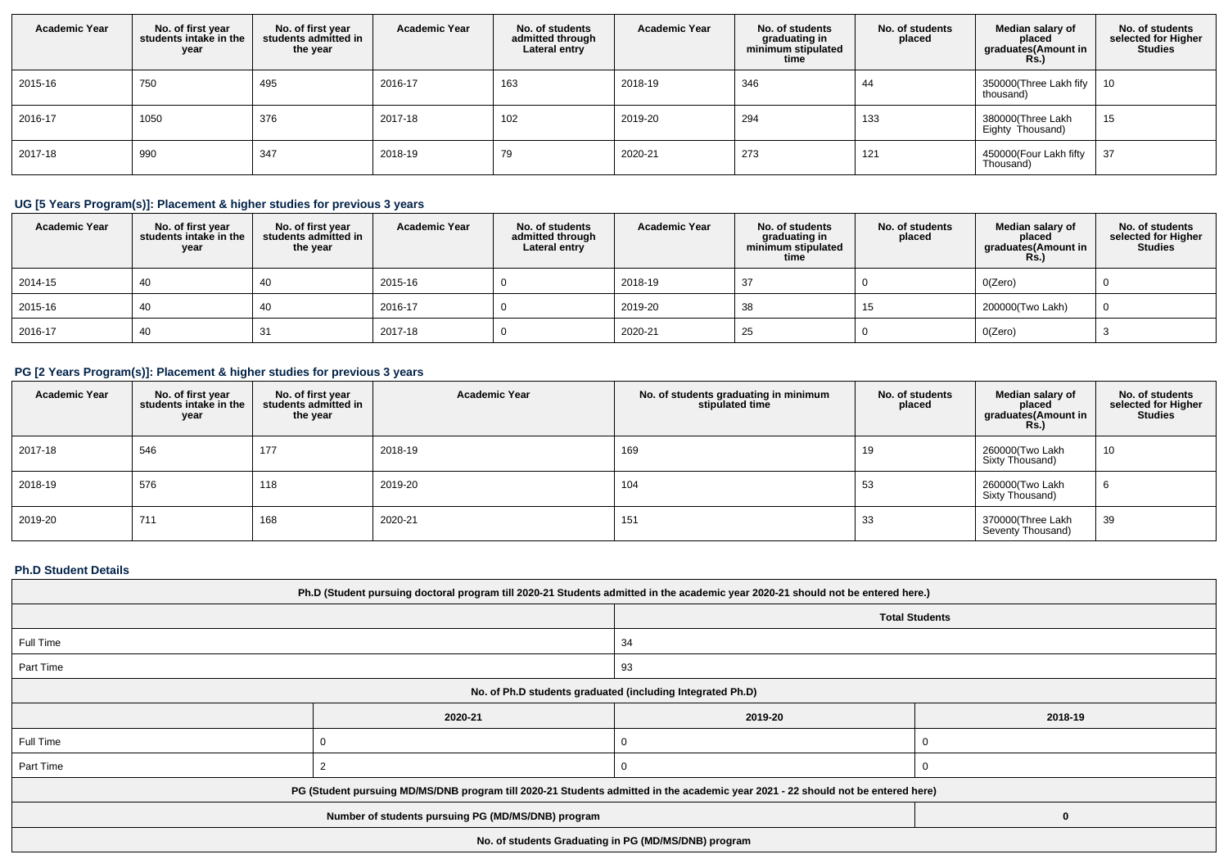| <b>Academic Year</b> | No. of first year<br>students intake in the<br>year | No. of first year<br>students admitted in<br>the year | <b>Academic Year</b> | No. of students<br>admitted through<br>Lateral entry | <b>Academic Year</b> | No. of students<br>graduating in<br>minimum stipulated<br>time | No. of students<br>placed | Median salary of<br>placed<br>graduates(Amount in<br><b>Rs.)</b> | No. of students<br>selected for Higher<br><b>Studies</b> |
|----------------------|-----------------------------------------------------|-------------------------------------------------------|----------------------|------------------------------------------------------|----------------------|----------------------------------------------------------------|---------------------------|------------------------------------------------------------------|----------------------------------------------------------|
| 2015-16              | 750                                                 | 495                                                   | 2016-17              | 163                                                  | 2018-19              | 346                                                            | 44                        | 350000(Three Lakh fify  <br>thousand)                            | 10                                                       |
| 2016-17              | 1050                                                | 376                                                   | 2017-18              | 102                                                  | 2019-20              | 294                                                            | 133                       | 380000(Three Lakh<br>Eighty Thousand)                            | 15                                                       |
| 2017-18              | 990                                                 | 347                                                   | 2018-19              | -79                                                  | 2020-21              | 273                                                            | 121                       | 450000(Four Lakh fifty<br>Thousand)                              | 37                                                       |

# **UG [5 Years Program(s)]: Placement & higher studies for previous 3 years**

| <b>Academic Year</b> | No. of first year<br>students intake in the<br>year | No. of first year<br>students admitted in<br>the year | <b>Academic Year</b> | No. of students<br>admitted through<br>Lateral entry | <b>Academic Year</b> | No. of students<br>graduating in<br>minimum stipulated<br>time | No. of students<br>placed | Median salary of<br>placed<br>graduates(Amount in<br>Rs.) | No. of students<br>selected for Higher<br><b>Studies</b> |
|----------------------|-----------------------------------------------------|-------------------------------------------------------|----------------------|------------------------------------------------------|----------------------|----------------------------------------------------------------|---------------------------|-----------------------------------------------------------|----------------------------------------------------------|
| 2014-15              | 40                                                  | 40                                                    | 2015-16              |                                                      | 2018-19              | 37                                                             |                           | O(Zero)                                                   |                                                          |
| 2015-16              | 40                                                  | 40                                                    | 2016-17              |                                                      | 2019-20              | 38                                                             | 15                        | 200000(Two Lakh)                                          |                                                          |
| 2016-17              | 40                                                  | 31                                                    | 2017-18              |                                                      | 2020-21              | 25                                                             |                           | O(Zero)                                                   |                                                          |

## **PG [2 Years Program(s)]: Placement & higher studies for previous 3 years**

| <b>Academic Year</b> | No. of first year<br>students intake in the<br>year | No. of first year<br>students admitted in<br>the year | <b>Academic Year</b> | No. of students graduating in minimum<br>stipulated time | No. of students<br>placed | Median salary of<br>placed<br>graduates(Amount in<br><b>Rs.)</b> | No. of students<br>selected for Higher<br><b>Studies</b> |
|----------------------|-----------------------------------------------------|-------------------------------------------------------|----------------------|----------------------------------------------------------|---------------------------|------------------------------------------------------------------|----------------------------------------------------------|
| 2017-18              | 546                                                 | 177                                                   | 2018-19              | 169                                                      | 19                        | 260000(Two Lakh<br>Sixty Thousand)                               | 10                                                       |
| 2018-19              | 576                                                 | 118                                                   | 2019-20              | 104                                                      | 53                        | 260000(Two Lakh<br>Sixty Thousand)                               | O                                                        |
| 2019-20              | 711                                                 | 168                                                   | 2020-21              | 151                                                      | 33                        | 370000(Three Lakh<br>Seventy Thousand)                           | 39                                                       |

### **Ph.D Student Details**

| Ph.D (Student pursuing doctoral program till 2020-21 Students admitted in the academic year 2020-21 should not be entered here.) |                                                      |    |   |  |  |  |
|----------------------------------------------------------------------------------------------------------------------------------|------------------------------------------------------|----|---|--|--|--|
| <b>Total Students</b>                                                                                                            |                                                      |    |   |  |  |  |
| Full Time                                                                                                                        |                                                      | 34 |   |  |  |  |
| Part Time<br>93                                                                                                                  |                                                      |    |   |  |  |  |
| No. of Ph.D students graduated (including Integrated Ph.D)                                                                       |                                                      |    |   |  |  |  |
|                                                                                                                                  | 2020-21<br>2019-20<br>2018-19                        |    |   |  |  |  |
| Full Time                                                                                                                        |                                                      |    |   |  |  |  |
| Part Time                                                                                                                        |                                                      |    |   |  |  |  |
| PG (Student pursuing MD/MS/DNB program till 2020-21 Students admitted in the academic year 2021 - 22 should not be entered here) |                                                      |    |   |  |  |  |
|                                                                                                                                  | Number of students pursuing PG (MD/MS/DNB) program   |    | 0 |  |  |  |
|                                                                                                                                  | No. of students Graduating in PG (MD/MS/DNB) program |    |   |  |  |  |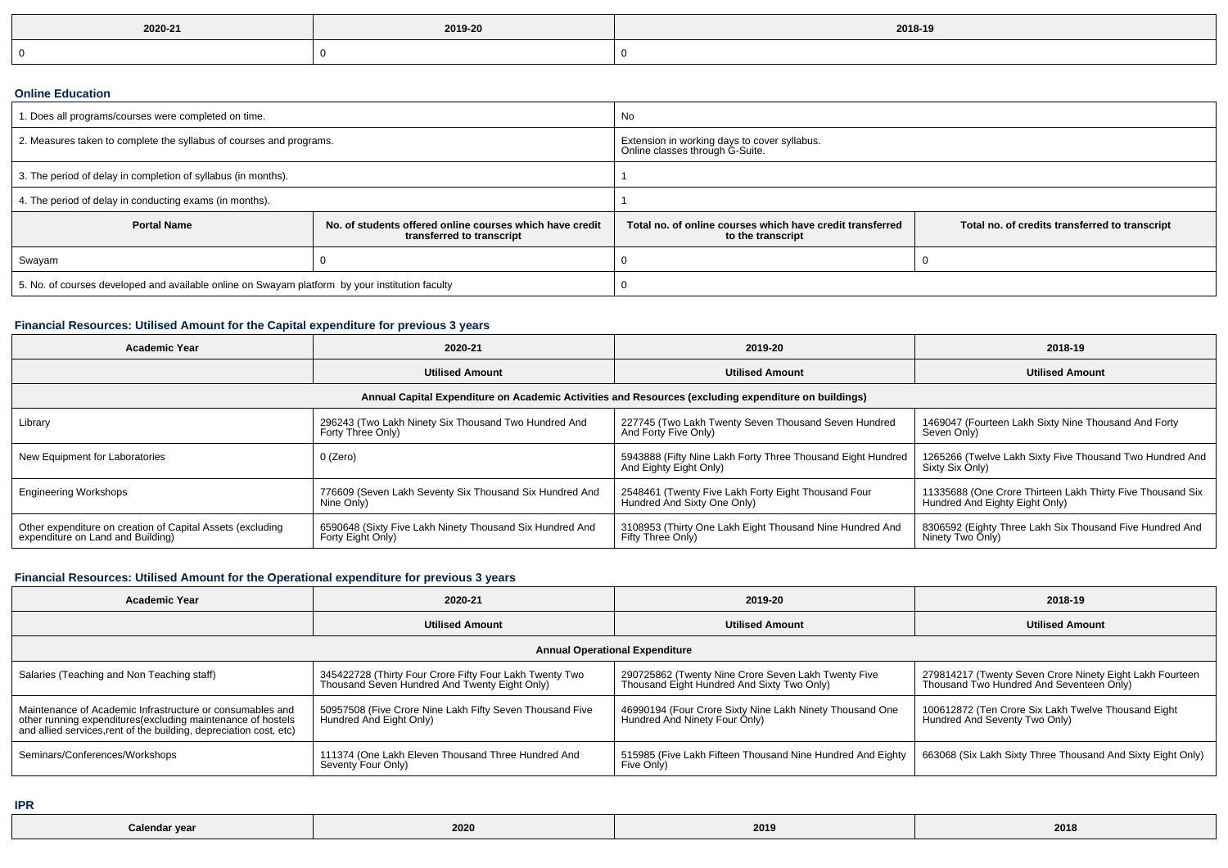| 2020-21 | 2019-20 | 2018-19 |
|---------|---------|---------|
|         |         |         |

### **Online Education**

| 1. Does all programs/courses were completed on time.                                            |                                                                                       | No                                                                                                                               |  |  |  |
|-------------------------------------------------------------------------------------------------|---------------------------------------------------------------------------------------|----------------------------------------------------------------------------------------------------------------------------------|--|--|--|
| 2. Measures taken to complete the syllabus of courses and programs.                             |                                                                                       | Extension in working days to cover syllabus.<br>Online classes through G-Suite.                                                  |  |  |  |
| 3. The period of delay in completion of syllabus (in months).                                   |                                                                                       |                                                                                                                                  |  |  |  |
| 4. The period of delay in conducting exams (in months).                                         |                                                                                       |                                                                                                                                  |  |  |  |
| <b>Portal Name</b>                                                                              | No. of students offered online courses which have credit<br>transferred to transcript | Total no, of online courses which have credit transferred<br>Total no. of credits transferred to transcript<br>to the transcript |  |  |  |
| Swayam                                                                                          |                                                                                       |                                                                                                                                  |  |  |  |
| 5. No. of courses developed and available online on Swayam platform by your institution faculty |                                                                                       |                                                                                                                                  |  |  |  |

## **Financial Resources: Utilised Amount for the Capital expenditure for previous 3 years**

| <b>Academic Year</b>                                                                                 | 2020-21                                                                       | 2019-20                                                                               | 2018-19                                                                                      |  |  |  |  |
|------------------------------------------------------------------------------------------------------|-------------------------------------------------------------------------------|---------------------------------------------------------------------------------------|----------------------------------------------------------------------------------------------|--|--|--|--|
|                                                                                                      | <b>Utilised Amount</b>                                                        | <b>Utilised Amount</b>                                                                | <b>Utilised Amount</b>                                                                       |  |  |  |  |
| Annual Capital Expenditure on Academic Activities and Resources (excluding expenditure on buildings) |                                                                               |                                                                                       |                                                                                              |  |  |  |  |
| Library                                                                                              | 296243 (Two Lakh Ninety Six Thousand Two Hundred And<br>Forty Three Only)     | 227745 (Two Lakh Twenty Seven Thousand Seven Hundred<br>And Forty Five Only)          | 1469047 (Fourteen Lakh Sixty Nine Thousand And Forty<br>Seven Only)                          |  |  |  |  |
| New Equipment for Laboratories                                                                       | 0 (Zero)                                                                      | 5943888 (Fifty Nine Lakh Forty Three Thousand Eight Hundred<br>And Eighty Eight Only) | 1265266 (Twelve Lakh Sixty Five Thousand Two Hundred And<br>Sixty Six Only)                  |  |  |  |  |
| <b>Engineering Workshops</b>                                                                         | 776609 (Seven Lakh Seventy Six Thousand Six Hundred And<br>Nine Only)         | 2548461 (Twenty Five Lakh Forty Eight Thousand Four<br>Hundred And Sixty One Only)    | 11335688 (One Crore Thirteen Lakh Thirty Five Thousand Six<br>Hundred And Eighty Eight Only) |  |  |  |  |
| Other expenditure on creation of Capital Assets (excluding<br>expenditure on Land and Building)      | 6590648 (Sixty Five Lakh Ninety Thousand Six Hundred And<br>Forty Eight Only) | 3108953 (Thirty One Lakh Eight Thousand Nine Hundred And<br>Fifty Three Only)         | 8306592 (Eighty Three Lakh Six Thousand Five Hundred And<br>Ninety Two Only)                 |  |  |  |  |

## **Financial Resources: Utilised Amount for the Operational expenditure for previous 3 years**

| <b>Academic Year</b>                                                                                                                                                                            | 2020-21                                                                                                  | 2019-20                                                                                           | 2018-19                                                                                              |  |  |  |  |
|-------------------------------------------------------------------------------------------------------------------------------------------------------------------------------------------------|----------------------------------------------------------------------------------------------------------|---------------------------------------------------------------------------------------------------|------------------------------------------------------------------------------------------------------|--|--|--|--|
|                                                                                                                                                                                                 | <b>Utilised Amount</b>                                                                                   | <b>Utilised Amount</b>                                                                            | <b>Utilised Amount</b>                                                                               |  |  |  |  |
| <b>Annual Operational Expenditure</b>                                                                                                                                                           |                                                                                                          |                                                                                                   |                                                                                                      |  |  |  |  |
| Salaries (Teaching and Non Teaching staff)                                                                                                                                                      | 345422728 (Thirty Four Crore Fifty Four Lakh Twenty Two<br>Thousand Seven Hundred And Twenty Eight Only) | 290725862 (Twenty Nine Crore Seven Lakh Twenty Five<br>Thousand Eight Hundred And Sixty Two Only) | 279814217 (Twenty Seven Crore Ninety Eight Lakh Fourteen<br>Thousand Two Hundred And Seventeen Only) |  |  |  |  |
| Maintenance of Academic Infrastructure or consumables and<br>other running expenditures (excluding maintenance of hostels<br>and allied services, rent of the building, depreciation cost, etc) | 50957508 (Five Crore Nine Lakh Fifty Seven Thousand Five<br>Hundred And Eight Only)                      | 46990194 (Four Crore Sixty Nine Lakh Ninety Thousand One<br>Hundred And Ninety Four Only)         | 100612872 (Ten Crore Six Lakh Twelve Thousand Eight<br>Hundred And Seventy Two Only)                 |  |  |  |  |
| Seminars/Conferences/Workshops                                                                                                                                                                  | 111374 (One Lakh Eleven Thousand Three Hundred And<br>Seventy Four Only)                                 | 515985 (Five Lakh Fifteen Thousand Nine Hundred And Eighty<br>Five Only)                          | 663068 (Six Lakh Sixty Three Thousand And Sixty Eight Only)                                          |  |  |  |  |

**IPR**

| Calendar vear | $\bullet\bullet\bullet$<br>2020 | 2019 | 2018 |
|---------------|---------------------------------|------|------|
|---------------|---------------------------------|------|------|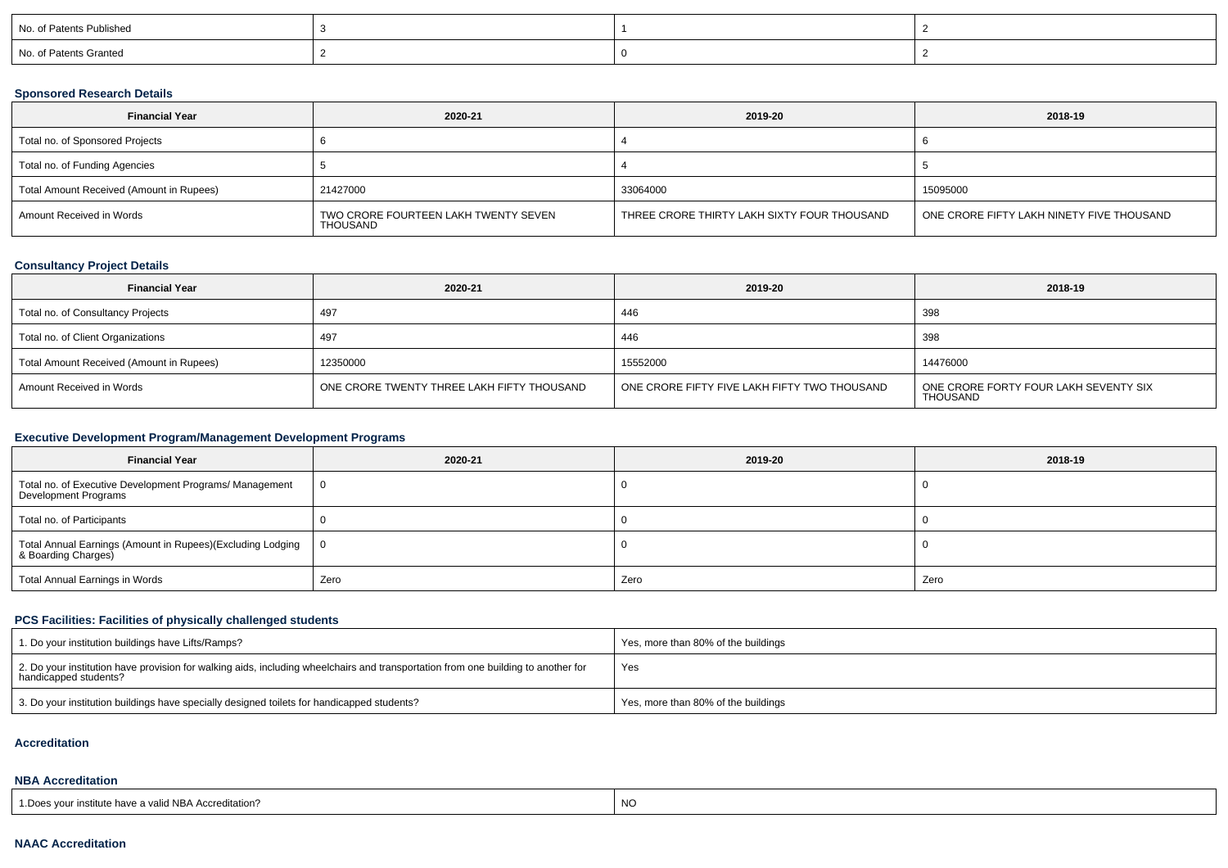| No. of Patents Published |  |  |
|--------------------------|--|--|
| No. of Patents Granted   |  |  |

### **Sponsored Research Details**

| <b>Financial Year</b>                    | 2020-21                                          | 2019-20                                     | 2018-19                                   |
|------------------------------------------|--------------------------------------------------|---------------------------------------------|-------------------------------------------|
| Total no. of Sponsored Projects          |                                                  |                                             |                                           |
| Total no. of Funding Agencies            |                                                  |                                             |                                           |
| Total Amount Received (Amount in Rupees) | 21427000                                         | 33064000                                    | 15095000                                  |
| Amount Received in Words                 | TWO CRORE FOURTEEN LAKH TWENTY SEVEN<br>THOUSAND | THREE CRORE THIRTY LAKH SIXTY FOUR THOUSAND | ONE CRORE FIFTY LAKH NINETY FIVE THOUSAND |

## **Consultancy Project Details**

| <b>Financial Year</b>                    | 2020-21                                    | 2019-20                                      | 2018-19                                                  |
|------------------------------------------|--------------------------------------------|----------------------------------------------|----------------------------------------------------------|
| Total no. of Consultancy Projects        | 497                                        | 446                                          | 398                                                      |
| Total no. of Client Organizations        | 497                                        | 446                                          | 398                                                      |
| Total Amount Received (Amount in Rupees) | 12350000                                   | 15552000                                     | 14476000                                                 |
| Amount Received in Words                 | ONE CRORE TWENTY THREE LAKH FIFTY THOUSAND | ONE CRORE FIFTY FIVE LAKH FIFTY TWO THOUSAND | ONE CRORE FORTY FOUR LAKH SEVENTY SIX<br><b>THOUSAND</b> |

## **Executive Development Program/Management Development Programs**

| <b>Financial Year</b>                                                             | 2020-21        | 2019-20 | 2018-19 |
|-----------------------------------------------------------------------------------|----------------|---------|---------|
| Total no. of Executive Development Programs/ Management<br>Development Programs   | $\overline{0}$ |         |         |
| Total no. of Participants                                                         |                |         |         |
| Total Annual Earnings (Amount in Rupees)(Excluding Lodging<br>& Boarding Charges) | $\overline{0}$ |         |         |
| Total Annual Earnings in Words                                                    | Zero           | Zero    | Zero    |

## **PCS Facilities: Facilities of physically challenged students**

| 1. Do your institution buildings have Lifts/Ramps?                                                                                                         | I Yes, more than 80% of the buildings |
|------------------------------------------------------------------------------------------------------------------------------------------------------------|---------------------------------------|
| 2. Do your institution have provision for walking aids, including wheelchairs and transportation from one building to another for<br>handicapped students? | Yes                                   |
| 3. Do your institution buildings have specially designed toilets for handicapped students?                                                                 | Yes, more than 80% of the buildings   |

#### **Accreditation**

#### **NBA Accreditation**

| have a<br>nstitute | a valid NBA Accreditation?<br>l .Does | <b>NO</b> |
|--------------------|---------------------------------------|-----------|
|--------------------|---------------------------------------|-----------|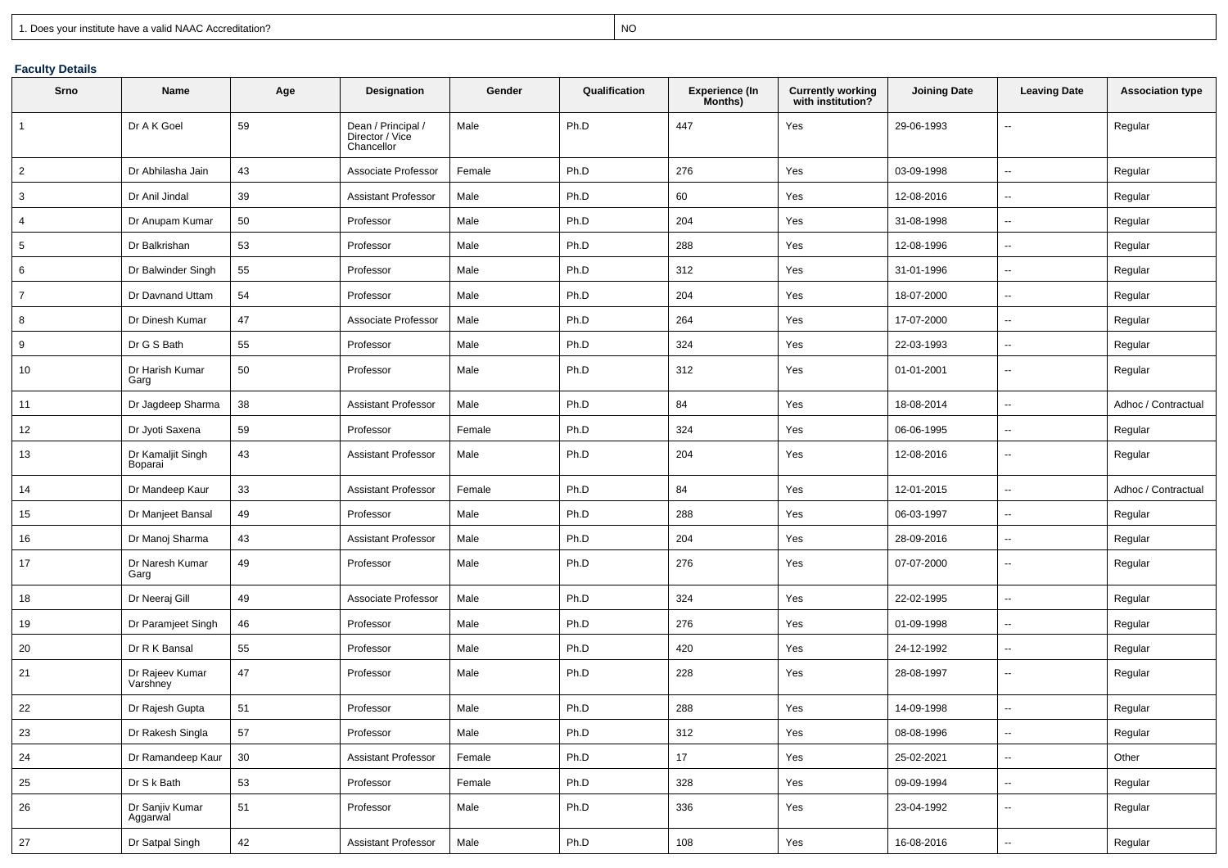expression of the contract of the contract of the contract of the contract of the contract of the contract of the contract of the contract of the contract of the contract of the contract of the contract of the contract of

## **Faculty Details**

| Srno           | Name                         | Age    | Designation                                         | Gender | Qualification | <b>Experience (In</b><br>Months) | Currently working<br>with institution? | <b>Joining Date</b> | <b>Leaving Date</b>      | <b>Association type</b> |
|----------------|------------------------------|--------|-----------------------------------------------------|--------|---------------|----------------------------------|----------------------------------------|---------------------|--------------------------|-------------------------|
| $\overline{1}$ | Dr A K Goel                  | 59     | Dean / Principal /<br>Director / Vice<br>Chancellor | Male   | Ph.D          | 447                              | Yes                                    | 29-06-1993          |                          | Regular                 |
| $\overline{c}$ | Dr Abhilasha Jain            | 43     | Associate Professor                                 | Female | Ph.D          | 276                              | Yes                                    | 03-09-1998          | $\overline{\phantom{a}}$ | Regular                 |
| 3              | Dr Anil Jindal               | 39     | <b>Assistant Professor</b>                          | Male   | Ph.D          | 60                               | Yes                                    | 12-08-2016          | $\overline{\phantom{a}}$ | Regular                 |
| $\overline{4}$ | Dr Anupam Kumar              | 50     | Professor                                           | Male   | Ph.D          | 204                              | Yes                                    | 31-08-1998          | $\overline{\phantom{a}}$ | Regular                 |
| 5              | Dr Balkrishan                | 53     | Professor                                           | Male   | Ph.D          | 288                              | Yes                                    | 12-08-1996          | $\sim$                   | Regular                 |
| 6              | Dr Balwinder Singh           | 55     | Professor                                           | Male   | Ph.D          | 312                              | Yes                                    | 31-01-1996          | --                       | Regular                 |
| $\overline{7}$ | Dr Davnand Uttam             | 54     | Professor                                           | Male   | Ph.D          | 204                              | Yes                                    | 18-07-2000          | $\overline{\phantom{a}}$ | Regular                 |
| 8              | Dr Dinesh Kumar              | 47     | Associate Professor                                 | Male   | Ph.D          | 264                              | Yes                                    | 17-07-2000          | $\sim$                   | Regular                 |
| 9              | Dr G S Bath                  | 55     | Professor                                           | Male   | Ph.D          | 324                              | Yes                                    | 22-03-1993          | $\overline{\phantom{a}}$ | Regular                 |
| 10             | Dr Harish Kumar<br>Garg      | 50     | Professor                                           | Male   | Ph.D          | 312                              | Yes                                    | 01-01-2001          | $\overline{\phantom{a}}$ | Regular                 |
| 11             | Dr Jagdeep Sharma            | 38     | <b>Assistant Professor</b>                          | Male   | Ph.D          | 84                               | Yes                                    | 18-08-2014          | $\sim$                   | Adhoc / Contractual     |
| 12             | Dr Jyoti Saxena              | 59     | Professor                                           | Female | Ph.D          | 324                              | Yes                                    | 06-06-1995          | $\overline{\phantom{a}}$ | Regular                 |
| 13             | Dr Kamaljit Singh<br>Boparai | 43     | <b>Assistant Professor</b>                          | Male   | Ph.D          | 204                              | Yes                                    | 12-08-2016          | $\overline{\phantom{a}}$ | Regular                 |
| 14             | Dr Mandeep Kaur              | 33     | <b>Assistant Professor</b>                          | Female | Ph.D          | 84                               | Yes                                    | 12-01-2015          | --                       | Adhoc / Contractual     |
| 15             | Dr Manjeet Bansal            | 49     | Professor                                           | Male   | Ph.D          | 288                              | Yes                                    | 06-03-1997          | $\overline{\phantom{a}}$ | Regular                 |
| 16             | Dr Manoj Sharma              | 43     | <b>Assistant Professor</b>                          | Male   | Ph.D          | 204                              | Yes                                    | 28-09-2016          | $\overline{\phantom{a}}$ | Regular                 |
| 17             | Dr Naresh Kumar<br>Garg      | 49     | Professor                                           | Male   | Ph.D          | 276                              | Yes                                    | 07-07-2000          | $\overline{\phantom{a}}$ | Regular                 |
| 18             | Dr Neeraj Gill               | 49     | Associate Professor                                 | Male   | Ph.D          | 324                              | Yes                                    | 22-02-1995          | $\overline{\phantom{a}}$ | Regular                 |
| 19             | Dr Paramjeet Singh           | 46     | Professor                                           | Male   | Ph.D          | 276                              | Yes                                    | 01-09-1998          | $\overline{\phantom{a}}$ | Regular                 |
| 20             | Dr R K Bansal                | 55     | Professor                                           | Male   | Ph.D          | 420                              | Yes                                    | 24-12-1992          | $\overline{\phantom{a}}$ | Regular                 |
| 21             | Dr Rajeev Kumar<br>Varshney  | 47     | Professor                                           | Male   | Ph.D          | 228                              | Yes                                    | 28-08-1997          | $\sim$                   | Regular                 |
| 22             | Dr Rajesh Gupta              | 51     | Professor                                           | Male   | Ph.D          | 288                              | Yes                                    | 14-09-1998          | $\overline{\phantom{a}}$ | Regular                 |
| 23             | Dr Rakesh Singla             | 57     | Professor                                           | Male   | Ph.D          | 312                              | Yes                                    | 08-08-1996          | ⊷                        | Regular                 |
| 24             | Dr Ramandeep Kaur            | 30     | <b>Assistant Professor</b>                          | Female | Ph.D          | 17                               | Yes                                    | 25-02-2021          | $\overline{\phantom{a}}$ | Other                   |
| 25             | Dr S k Bath                  | 53     | Professor                                           | Female | Ph.D          | 328                              | Yes                                    | 09-09-1994          | $\overline{\phantom{a}}$ | Regular                 |
| 26             | Dr Sanjiv Kumar<br>Aggarwal  | 51     | Professor                                           | Male   | Ph.D          | 336                              | Yes                                    | 23-04-1992          | $\sim$                   | Regular                 |
| 27             | Dr Satpal Singh              | $42\,$ | Assistant Professor                                 | Male   | Ph.D          | 108                              | Yes                                    | 16-08-2016          | $\overline{\phantom{a}}$ | Regular                 |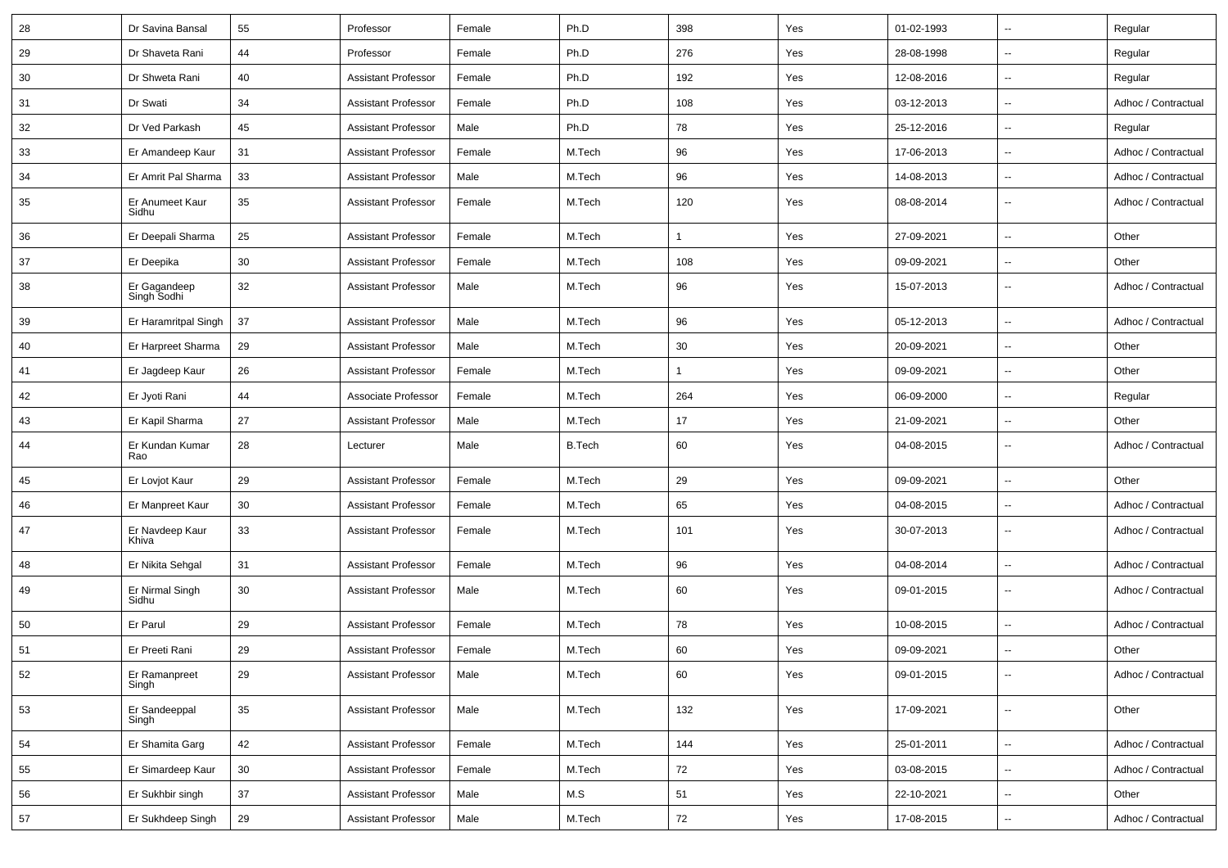| 28 | Dr Savina Bansal            | 55 | Professor                  | Female | Ph.D          | 398 | Yes | 01-02-1993 | $\mathbf{u}$             | Regular             |
|----|-----------------------------|----|----------------------------|--------|---------------|-----|-----|------------|--------------------------|---------------------|
| 29 | Dr Shaveta Rani             | 44 | Professor                  | Female | Ph.D          | 276 | Yes | 28-08-1998 | $\overline{\phantom{a}}$ | Regular             |
| 30 | Dr Shweta Rani              | 40 | <b>Assistant Professor</b> | Female | Ph.D          | 192 | Yes | 12-08-2016 | $\sim$                   | Regular             |
| 31 | Dr Swati                    | 34 | <b>Assistant Professor</b> | Female | Ph.D          | 108 | Yes | 03-12-2013 | $\overline{\phantom{a}}$ | Adhoc / Contractual |
| 32 | Dr Ved Parkash              | 45 | <b>Assistant Professor</b> | Male   | Ph.D          | 78  | Yes | 25-12-2016 | $\overline{\phantom{a}}$ | Regular             |
| 33 | Er Amandeep Kaur            | 31 | <b>Assistant Professor</b> | Female | M.Tech        | 96  | Yes | 17-06-2013 | $\overline{\phantom{a}}$ | Adhoc / Contractual |
| 34 | Er Amrit Pal Sharma         | 33 | <b>Assistant Professor</b> | Male   | M.Tech        | 96  | Yes | 14-08-2013 | $\overline{\phantom{a}}$ | Adhoc / Contractual |
| 35 | Er Anumeet Kaur<br>Sidhu    | 35 | <b>Assistant Professor</b> | Female | M.Tech        | 120 | Yes | 08-08-2014 | $\mathbf{u}$             | Adhoc / Contractual |
| 36 | Er Deepali Sharma           | 25 | <b>Assistant Professor</b> | Female | M.Tech        | 1   | Yes | 27-09-2021 | $\overline{\phantom{a}}$ | Other               |
| 37 | Er Deepika                  | 30 | <b>Assistant Professor</b> | Female | M.Tech        | 108 | Yes | 09-09-2021 | $\overline{\phantom{a}}$ | Other               |
| 38 | Er Gagandeep<br>Singh Sodhi | 32 | <b>Assistant Professor</b> | Male   | M.Tech        | 96  | Yes | 15-07-2013 | $\overline{\phantom{a}}$ | Adhoc / Contractual |
| 39 | Er Haramritpal Singh        | 37 | <b>Assistant Professor</b> | Male   | M.Tech        | 96  | Yes | 05-12-2013 | $\overline{\phantom{a}}$ | Adhoc / Contractual |
| 40 | Er Harpreet Sharma          | 29 | <b>Assistant Professor</b> | Male   | M.Tech        | 30  | Yes | 20-09-2021 | $\mathbf{u}$             | Other               |
| 41 | Er Jagdeep Kaur             | 26 | <b>Assistant Professor</b> | Female | M.Tech        | 1   | Yes | 09-09-2021 | $\overline{\phantom{a}}$ | Other               |
| 42 | Er Jyoti Rani               | 44 | Associate Professor        | Female | M.Tech        | 264 | Yes | 06-09-2000 | $\overline{\phantom{a}}$ | Regular             |
| 43 | Er Kapil Sharma             | 27 | <b>Assistant Professor</b> | Male   | M.Tech        | 17  | Yes | 21-09-2021 | $\overline{\phantom{a}}$ | Other               |
| 44 | Er Kundan Kumar<br>Rao      | 28 | Lecturer                   | Male   | <b>B.Tech</b> | 60  | Yes | 04-08-2015 | $\overline{\phantom{a}}$ | Adhoc / Contractual |
| 45 | Er Lovjot Kaur              | 29 | <b>Assistant Professor</b> | Female | M.Tech        | 29  | Yes | 09-09-2021 | $\overline{\phantom{a}}$ | Other               |
| 46 | Er Manpreet Kaur            | 30 | <b>Assistant Professor</b> | Female | M.Tech        | 65  | Yes | 04-08-2015 | $\overline{\phantom{a}}$ | Adhoc / Contractual |
| 47 | Er Navdeep Kaur<br>Khiva    | 33 | <b>Assistant Professor</b> | Female | M.Tech        | 101 | Yes | 30-07-2013 | $\overline{\phantom{a}}$ | Adhoc / Contractual |
| 48 | Er Nikita Sehgal            | 31 | <b>Assistant Professor</b> | Female | M.Tech        | 96  | Yes | 04-08-2014 | $\overline{\phantom{a}}$ | Adhoc / Contractual |
| 49 | Er Nirmal Singh<br>Sidhu    | 30 | <b>Assistant Professor</b> | Male   | M.Tech        | 60  | Yes | 09-01-2015 | $\overline{\phantom{a}}$ | Adhoc / Contractual |
| 50 | Er Parul                    | 29 | <b>Assistant Professor</b> | Female | M.Tech        | 78  | Yes | 10-08-2015 | $\overline{\phantom{a}}$ | Adhoc / Contractual |
| 51 | Er Preeti Rani              | 29 | <b>Assistant Professor</b> | Female | M.Tech        | 60  | Yes | 09-09-2021 | $\overline{\phantom{a}}$ | Other               |
| 52 | Er Ramanpreet<br>Singh      | 29 | <b>Assistant Professor</b> | Male   | M.Tech        | 60  | Yes | 09-01-2015 | ۰.                       | Adhoc / Contractual |
| 53 | Er Sandeeppal<br>Singh      | 35 | <b>Assistant Professor</b> | Male   | M.Tech        | 132 | Yes | 17-09-2021 | ۰.                       | Other               |
| 54 | Er Shamita Garg             | 42 | <b>Assistant Professor</b> | Female | M.Tech        | 144 | Yes | 25-01-2011 | ۰.                       | Adhoc / Contractual |
| 55 | Er Simardeep Kaur           | 30 | <b>Assistant Professor</b> | Female | M.Tech        | 72  | Yes | 03-08-2015 | $\overline{\phantom{a}}$ | Adhoc / Contractual |
| 56 | Er Sukhbir singh            | 37 | <b>Assistant Professor</b> | Male   | M.S           | 51  | Yes | 22-10-2021 | ۰.                       | Other               |
| 57 | Er Sukhdeep Singh           | 29 | <b>Assistant Professor</b> | Male   | M.Tech        | 72  | Yes | 17-08-2015 | ۰.                       | Adhoc / Contractual |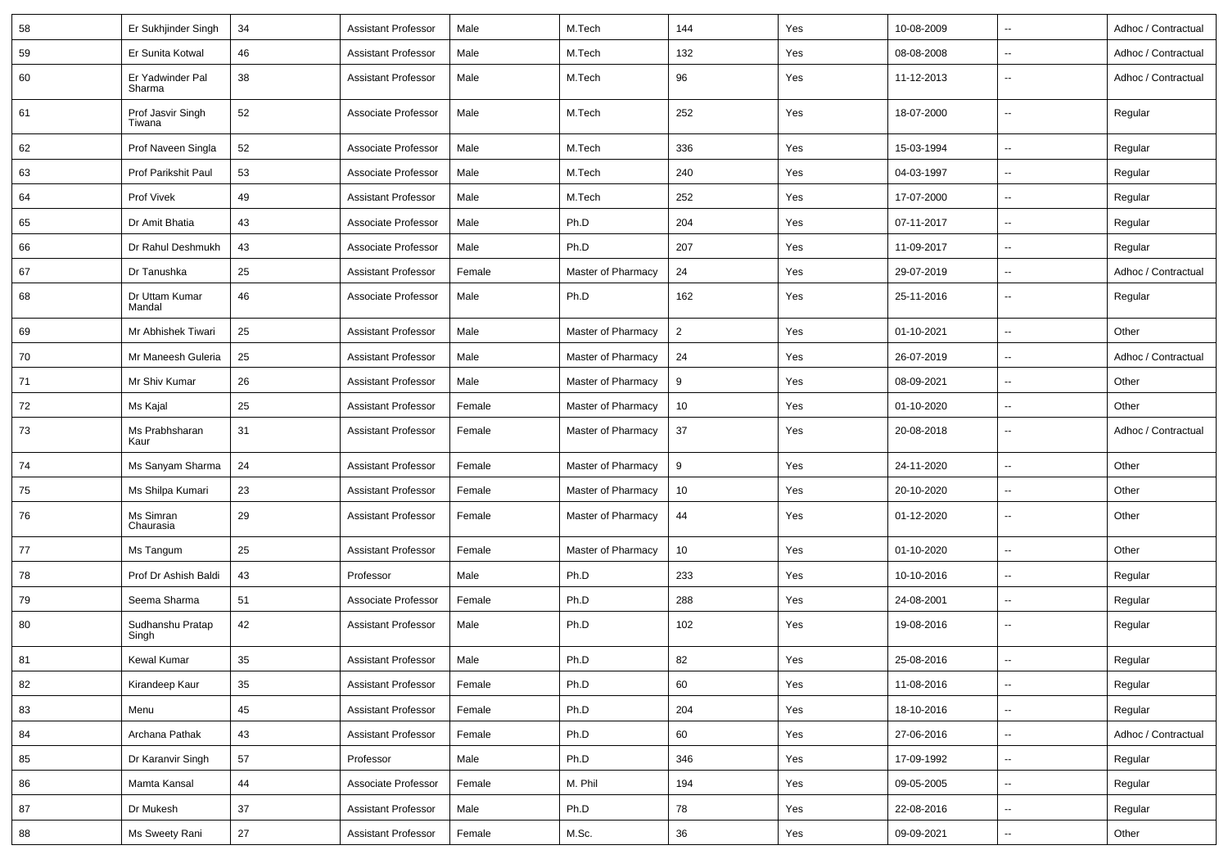| 58 | Er Sukhjinder Singh         | 34 | <b>Assistant Professor</b> | Male   | M.Tech             | 144            | Yes | 10-08-2009 | $\sim$                   | Adhoc / Contractual |
|----|-----------------------------|----|----------------------------|--------|--------------------|----------------|-----|------------|--------------------------|---------------------|
| 59 | Er Sunita Kotwal            | 46 | <b>Assistant Professor</b> | Male   | M.Tech             | 132            | Yes | 08-08-2008 | $\sim$                   | Adhoc / Contractual |
| 60 | Er Yadwinder Pal<br>Sharma  | 38 | <b>Assistant Professor</b> | Male   | M.Tech             | 96             | Yes | 11-12-2013 | $\sim$                   | Adhoc / Contractual |
| 61 | Prof Jasvir Singh<br>Tiwana | 52 | Associate Professor        | Male   | M.Tech             | 252            | Yes | 18-07-2000 | $\sim$                   | Regular             |
| 62 | Prof Naveen Singla          | 52 | Associate Professor        | Male   | M.Tech             | 336            | Yes | 15-03-1994 | $\overline{\phantom{a}}$ | Regular             |
| 63 | Prof Parikshit Paul         | 53 | Associate Professor        | Male   | M.Tech             | 240            | Yes | 04-03-1997 | $\overline{\phantom{a}}$ | Regular             |
| 64 | Prof Vivek                  | 49 | <b>Assistant Professor</b> | Male   | M.Tech             | 252            | Yes | 17-07-2000 | $\sim$                   | Regular             |
| 65 | Dr Amit Bhatia              | 43 | Associate Professor        | Male   | Ph.D               | 204            | Yes | 07-11-2017 | $\sim$                   | Regular             |
| 66 | Dr Rahul Deshmukh           | 43 | Associate Professor        | Male   | Ph.D               | 207            | Yes | 11-09-2017 | $\overline{\phantom{a}}$ | Regular             |
| 67 | Dr Tanushka                 | 25 | <b>Assistant Professor</b> | Female | Master of Pharmacy | 24             | Yes | 29-07-2019 | $\sim$                   | Adhoc / Contractual |
| 68 | Dr Uttam Kumar<br>Mandal    | 46 | Associate Professor        | Male   | Ph.D               | 162            | Yes | 25-11-2016 | $\sim$                   | Regular             |
| 69 | Mr Abhishek Tiwari          | 25 | <b>Assistant Professor</b> | Male   | Master of Pharmacy | $\overline{2}$ | Yes | 01-10-2021 | $\sim$                   | Other               |
| 70 | Mr Maneesh Guleria          | 25 | <b>Assistant Professor</b> | Male   | Master of Pharmacy | 24             | Yes | 26-07-2019 | $\overline{\phantom{a}}$ | Adhoc / Contractual |
| 71 | Mr Shiv Kumar               | 26 | <b>Assistant Professor</b> | Male   | Master of Pharmacy | 9              | Yes | 08-09-2021 | $\sim$                   | Other               |
| 72 | Ms Kajal                    | 25 | <b>Assistant Professor</b> | Female | Master of Pharmacy | 10             | Yes | 01-10-2020 | $\sim$                   | Other               |
| 73 | Ms Prabhsharan<br>Kaur      | 31 | <b>Assistant Professor</b> | Female | Master of Pharmacy | 37             | Yes | 20-08-2018 | $\overline{\phantom{a}}$ | Adhoc / Contractual |
| 74 | Ms Sanyam Sharma            | 24 | <b>Assistant Professor</b> | Female | Master of Pharmacy | 9              | Yes | 24-11-2020 | $\sim$                   | Other               |
| 75 | Ms Shilpa Kumari            | 23 | <b>Assistant Professor</b> | Female | Master of Pharmacy | 10             | Yes | 20-10-2020 | $\sim$                   | Other               |
| 76 | Ms Simran<br>Chaurasia      | 29 | <b>Assistant Professor</b> | Female | Master of Pharmacy | 44             | Yes | 01-12-2020 | $\overline{\phantom{a}}$ | Other               |
| 77 | Ms Tangum                   | 25 | <b>Assistant Professor</b> | Female | Master of Pharmacy | 10             | Yes | 01-10-2020 | $\overline{\phantom{a}}$ | Other               |
| 78 | Prof Dr Ashish Baldi        | 43 | Professor                  | Male   | Ph.D               | 233            | Yes | 10-10-2016 | $\overline{\phantom{a}}$ | Regular             |
| 79 | Seema Sharma                | 51 | Associate Professor        | Female | Ph.D               | 288            | Yes | 24-08-2001 | $\sim$                   | Regular             |
| 80 | Sudhanshu Pratap<br>Singh   | 42 | <b>Assistant Professor</b> | Male   | Ph.D               | 102            | Yes | 19-08-2016 | $\sim$                   | Regular             |
| 81 | <b>Kewal Kumar</b>          | 35 | <b>Assistant Professor</b> | Male   | Ph.D               | 82             | Yes | 25-08-2016 |                          | Regular             |
| 82 | Kirandeep Kaur              | 35 | <b>Assistant Professor</b> | Female | Ph.D               | 60             | Yes | 11-08-2016 | $\overline{\phantom{a}}$ | Regular             |
| 83 | Menu                        | 45 | <b>Assistant Professor</b> | Female | Ph.D               | 204            | Yes | 18-10-2016 | $\sim$                   | Regular             |
| 84 | Archana Pathak              | 43 | <b>Assistant Professor</b> | Female | Ph.D               | 60             | Yes | 27-06-2016 | $\overline{\phantom{a}}$ | Adhoc / Contractual |
| 85 | Dr Karanvir Singh           | 57 | Professor                  | Male   | Ph.D               | 346            | Yes | 17-09-1992 | $\overline{\phantom{a}}$ | Regular             |
| 86 | Mamta Kansal                | 44 | Associate Professor        | Female | M. Phil            | 194            | Yes | 09-05-2005 | $\overline{\phantom{a}}$ | Regular             |
| 87 | Dr Mukesh                   | 37 | <b>Assistant Professor</b> | Male   | Ph.D               | 78             | Yes | 22-08-2016 | $\overline{\phantom{a}}$ | Regular             |
| 88 | Ms Sweety Rani              | 27 | <b>Assistant Professor</b> | Female | M.Sc.              | 36             | Yes | 09-09-2021 | $\overline{\phantom{a}}$ | Other               |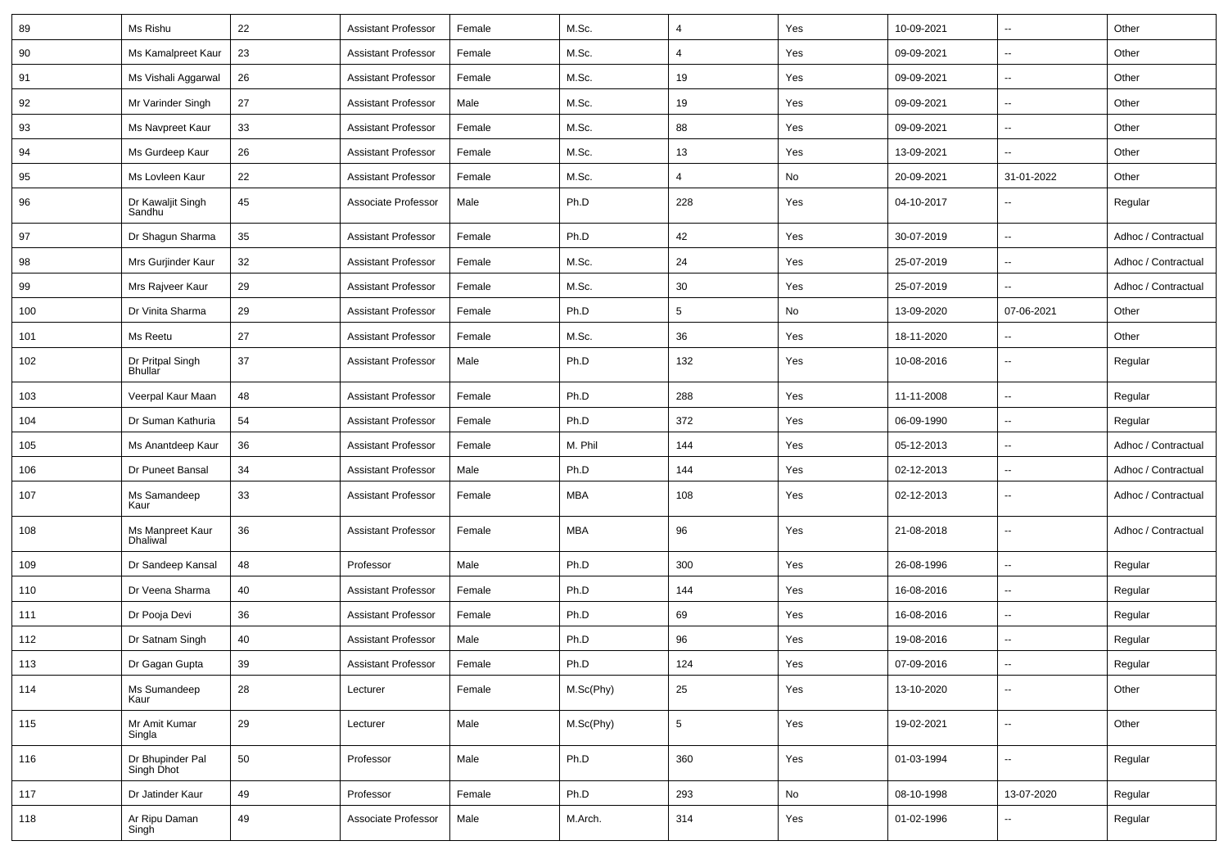| 89  | Ms Rishu                       | 22 | <b>Assistant Professor</b> | Female | M.Sc.      | $\overline{4}$ | Yes | 10-09-2021 | $\overline{\phantom{a}}$ | Other               |
|-----|--------------------------------|----|----------------------------|--------|------------|----------------|-----|------------|--------------------------|---------------------|
| 90  | Ms Kamalpreet Kaur             | 23 | <b>Assistant Professor</b> | Female | M.Sc.      | 4              | Yes | 09-09-2021 | --                       | Other               |
| 91  | Ms Vishali Aggarwal            | 26 | <b>Assistant Professor</b> | Female | M.Sc.      | 19             | Yes | 09-09-2021 | -−                       | Other               |
| 92  | Mr Varinder Singh              | 27 | <b>Assistant Professor</b> | Male   | M.Sc.      | 19             | Yes | 09-09-2021 | $\overline{a}$           | Other               |
| 93  | Ms Navpreet Kaur               | 33 | <b>Assistant Professor</b> | Female | M.Sc.      | 88             | Yes | 09-09-2021 | --                       | Other               |
| 94  | Ms Gurdeep Kaur                | 26 | <b>Assistant Professor</b> | Female | M.Sc.      | 13             | Yes | 13-09-2021 | ۵.                       | Other               |
| 95  | Ms Lovleen Kaur                | 22 | <b>Assistant Professor</b> | Female | M.Sc.      | 4              | No  | 20-09-2021 | 31-01-2022               | Other               |
| 96  | Dr Kawaljit Singh<br>Sandhu    | 45 | Associate Professor        | Male   | Ph.D       | 228            | Yes | 04-10-2017 | --                       | Regular             |
| 97  | Dr Shagun Sharma               | 35 | <b>Assistant Professor</b> | Female | Ph.D       | 42             | Yes | 30-07-2019 | $\overline{\phantom{a}}$ | Adhoc / Contractual |
| 98  | Mrs Gurjinder Kaur             | 32 | <b>Assistant Professor</b> | Female | M.Sc.      | 24             | Yes | 25-07-2019 | -−                       | Adhoc / Contractual |
| 99  | Mrs Rajveer Kaur               | 29 | <b>Assistant Professor</b> | Female | M.Sc.      | 30             | Yes | 25-07-2019 |                          | Adhoc / Contractual |
| 100 | Dr Vinita Sharma               | 29 | <b>Assistant Professor</b> | Female | Ph.D       | 5              | No  | 13-09-2020 | 07-06-2021               | Other               |
| 101 | Ms Reetu                       | 27 | <b>Assistant Professor</b> | Female | M.Sc.      | 36             | Yes | 18-11-2020 | $\overline{\phantom{a}}$ | Other               |
| 102 | Dr Pritpal Singh<br>Bhullar    | 37 | <b>Assistant Professor</b> | Male   | Ph.D       | 132            | Yes | 10-08-2016 | --                       | Regular             |
| 103 | Veerpal Kaur Maan              | 48 | <b>Assistant Professor</b> | Female | Ph.D       | 288            | Yes | 11-11-2008 | $\overline{\phantom{a}}$ | Regular             |
| 104 | Dr Suman Kathuria              | 54 | <b>Assistant Professor</b> | Female | Ph.D       | 372            | Yes | 06-09-1990 | --                       | Regular             |
| 105 | Ms Anantdeep Kaur              | 36 | Assistant Professor        | Female | M. Phil    | 144            | Yes | 05-12-2013 | --                       | Adhoc / Contractual |
| 106 | Dr Puneet Bansal               | 34 | <b>Assistant Professor</b> | Male   | Ph.D       | 144            | Yes | 02-12-2013 | $\overline{\phantom{a}}$ | Adhoc / Contractual |
| 107 | Ms Samandeep<br>Kaur           | 33 | <b>Assistant Professor</b> | Female | <b>MBA</b> | 108            | Yes | 02-12-2013 |                          | Adhoc / Contractual |
| 108 | Ms Manpreet Kaur<br>Dhaliwal   | 36 | <b>Assistant Professor</b> | Female | <b>MBA</b> | 96             | Yes | 21-08-2018 | --                       | Adhoc / Contractual |
| 109 | Dr Sandeep Kansal              | 48 | Professor                  | Male   | Ph.D       | 300            | Yes | 26-08-1996 | --                       | Regular             |
| 110 | Dr Veena Sharma                | 40 | <b>Assistant Professor</b> | Female | Ph.D       | 144            | Yes | 16-08-2016 | ۵.                       | Regular             |
| 111 | Dr Pooja Devi                  | 36 | <b>Assistant Professor</b> | Female | Ph.D       | 69             | Yes | 16-08-2016 | --                       | Regular             |
| 112 | Dr Satnam Singh                | 40 | <b>Assistant Professor</b> | Male   | Ph.D       | 96             | Yes | 19-08-2016 | --                       | Regular             |
| 113 | Dr Gagan Gupta                 | 39 | <b>Assistant Professor</b> | Female | Ph.D       | 124            | Yes | 07-09-2016 | $\overline{\phantom{a}}$ | Regular             |
| 114 | Ms Sumandeep<br>Kaur           | 28 | Lecturer                   | Female | M.Sc(Phy)  | 25             | Yes | 13-10-2020 | Ξ.                       | Other               |
| 115 | Mr Amit Kumar<br>Singla        | 29 | Lecturer                   | Male   | M.Sc(Phy)  | 5              | Yes | 19-02-2021 | $\sim$                   | Other               |
| 116 | Dr Bhupinder Pal<br>Singh Dhot | 50 | Professor                  | Male   | Ph.D       | 360            | Yes | 01-03-1994 | $\sim$                   | Regular             |
| 117 | Dr Jatinder Kaur               | 49 | Professor                  | Female | Ph.D       | 293            | No  | 08-10-1998 | 13-07-2020               | Regular             |
| 118 | Ar Ripu Daman<br>Singh         | 49 | Associate Professor        | Male   | M.Arch.    | 314            | Yes | 01-02-1996 | -−                       | Regular             |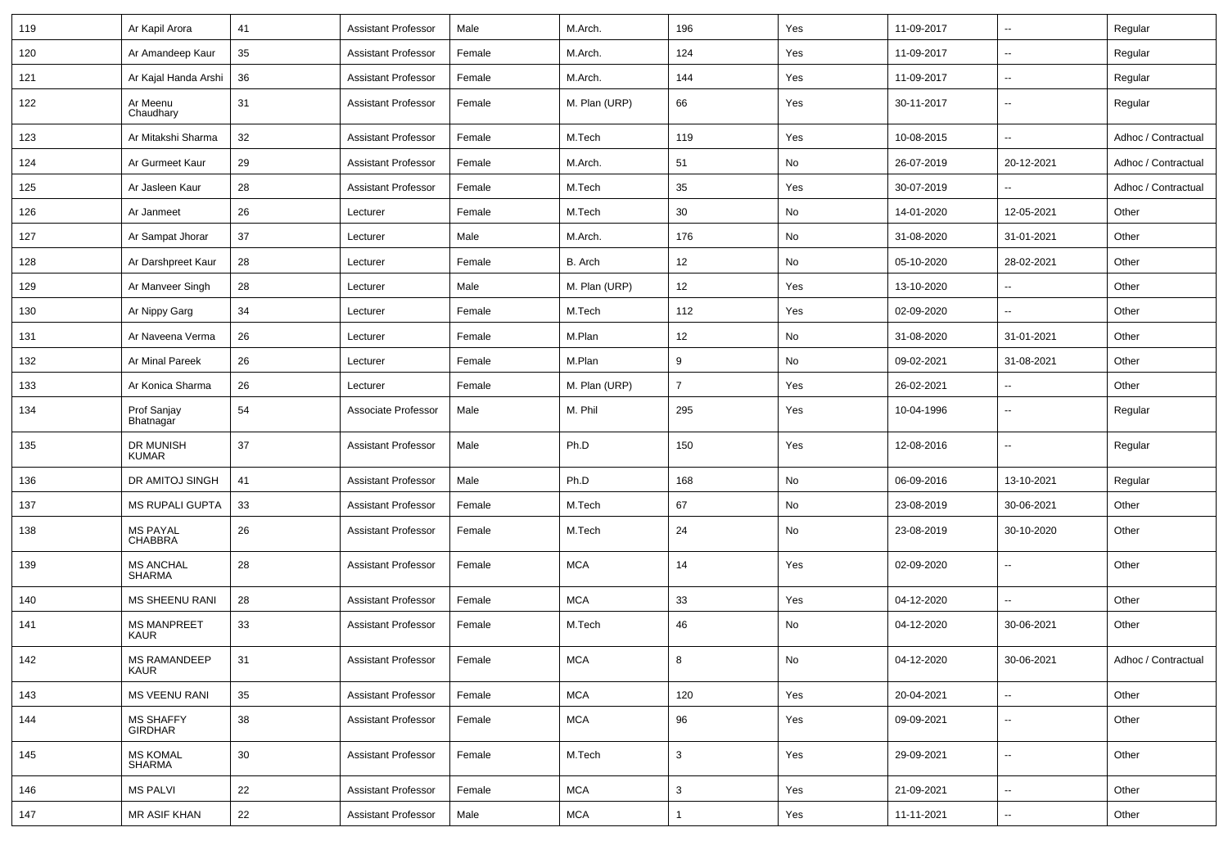| 119 | Ar Kapil Arora                     | 41 | <b>Assistant Professor</b> | Male   | M.Arch.       | 196            | Yes | 11-09-2017 | --                       | Regular             |
|-----|------------------------------------|----|----------------------------|--------|---------------|----------------|-----|------------|--------------------------|---------------------|
| 120 | Ar Amandeep Kaur                   | 35 | <b>Assistant Professor</b> | Female | M.Arch.       | 124            | Yes | 11-09-2017 | $\overline{\phantom{a}}$ | Regular             |
| 121 | Ar Kajal Handa Arshi               | 36 | <b>Assistant Professor</b> | Female | M.Arch.       | 144            | Yes | 11-09-2017 | ۰.                       | Regular             |
| 122 | Ar Meenu<br>Chaudhary              | 31 | <b>Assistant Professor</b> | Female | M. Plan (URP) | 66             | Yes | 30-11-2017 | $\overline{\phantom{a}}$ | Regular             |
| 123 | Ar Mitakshi Sharma                 | 32 | <b>Assistant Professor</b> | Female | M.Tech        | 119            | Yes | 10-08-2015 | $\overline{\phantom{a}}$ | Adhoc / Contractual |
| 124 | Ar Gurmeet Kaur                    | 29 | <b>Assistant Professor</b> | Female | M.Arch.       | 51             | No  | 26-07-2019 | 20-12-2021               | Adhoc / Contractual |
| 125 | Ar Jasleen Kaur                    | 28 | <b>Assistant Professor</b> | Female | M.Tech        | 35             | Yes | 30-07-2019 | $\overline{a}$           | Adhoc / Contractual |
| 126 | Ar Janmeet                         | 26 | Lecturer                   | Female | M.Tech        | 30             | No  | 14-01-2020 | 12-05-2021               | Other               |
| 127 | Ar Sampat Jhorar                   | 37 | Lecturer                   | Male   | M.Arch.       | 176            | No  | 31-08-2020 | 31-01-2021               | Other               |
| 128 | Ar Darshpreet Kaur                 | 28 | Lecturer                   | Female | B. Arch       | 12             | No  | 05-10-2020 | 28-02-2021               | Other               |
| 129 | Ar Manveer Singh                   | 28 | Lecturer                   | Male   | M. Plan (URP) | 12             | Yes | 13-10-2020 | $\overline{a}$           | Other               |
| 130 | Ar Nippy Garg                      | 34 | Lecturer                   | Female | M.Tech        | 112            | Yes | 02-09-2020 | $\overline{a}$           | Other               |
| 131 | Ar Naveena Verma                   | 26 | Lecturer                   | Female | M.Plan        | 12             | No  | 31-08-2020 | 31-01-2021               | Other               |
| 132 | Ar Minal Pareek                    | 26 | Lecturer                   | Female | M.Plan        | 9              | No  | 09-02-2021 | 31-08-2021               | Other               |
| 133 | Ar Konica Sharma                   | 26 | Lecturer                   | Female | M. Plan (URP) | $\overline{7}$ | Yes | 26-02-2021 | u.                       | Other               |
| 134 | Prof Sanjay<br>Bhatnagar           | 54 | Associate Professor        | Male   | M. Phil       | 295            | Yes | 10-04-1996 | $-$                      | Regular             |
| 135 | DR MUNISH<br>KUMAR                 | 37 | <b>Assistant Professor</b> | Male   | Ph.D          | 150            | Yes | 12-08-2016 | --                       | Regular             |
| 136 | DR AMITOJ SINGH                    | 41 | <b>Assistant Professor</b> | Male   | Ph.D          | 168            | No  | 06-09-2016 | 13-10-2021               | Regular             |
| 137 | <b>MS RUPALI GUPTA</b>             | 33 | <b>Assistant Professor</b> | Female | M.Tech        | 67             | No  | 23-08-2019 | 30-06-2021               | Other               |
| 138 | <b>MS PAYAL</b><br>CHABBRA         | 26 | <b>Assistant Professor</b> | Female | M.Tech        | 24             | No  | 23-08-2019 | 30-10-2020               | Other               |
| 139 | <b>MS ANCHAL</b><br><b>SHARMA</b>  | 28 | <b>Assistant Professor</b> | Female | <b>MCA</b>    | 14             | Yes | 02-09-2020 | $\overline{a}$           | Other               |
| 140 | <b>MS SHEENU RANI</b>              | 28 | <b>Assistant Professor</b> | Female | <b>MCA</b>    | 33             | Yes | 04-12-2020 | u.                       | Other               |
| 141 | <b>MS MANPREET</b><br><b>KAUR</b>  | 33 | <b>Assistant Professor</b> | Female | M.Tech        | 46             | No  | 04-12-2020 | 30-06-2021               | Other               |
| 142 | <b>MS RAMANDEEP</b><br>KAUR        | 31 | <b>Assistant Professor</b> | Female | <b>MCA</b>    | 8              | No  | 04-12-2020 | 30-06-2021               | Adhoc / Contractual |
| 143 | <b>MS VEENU RANI</b>               | 35 | <b>Assistant Professor</b> | Female | <b>MCA</b>    | 120            | Yes | 20-04-2021 | --                       | Other               |
| 144 | <b>MS SHAFFY</b><br><b>GIRDHAR</b> | 38 | <b>Assistant Professor</b> | Female | <b>MCA</b>    | 96             | Yes | 09-09-2021 | Ξ.                       | Other               |
| 145 | <b>MS KOMAL</b><br><b>SHARMA</b>   | 30 | <b>Assistant Professor</b> | Female | M.Tech        | $\mathbf{3}$   | Yes | 29-09-2021 | Ξ.                       | Other               |
| 146 | <b>MS PALVI</b>                    | 22 | <b>Assistant Professor</b> | Female | <b>MCA</b>    | 3              | Yes | 21-09-2021 | Ξ.                       | Other               |
| 147 | MR ASIF KHAN                       | 22 | <b>Assistant Professor</b> | Male   | <b>MCA</b>    | $\mathbf{1}$   | Yes | 11-11-2021 | $\overline{\phantom{a}}$ | Other               |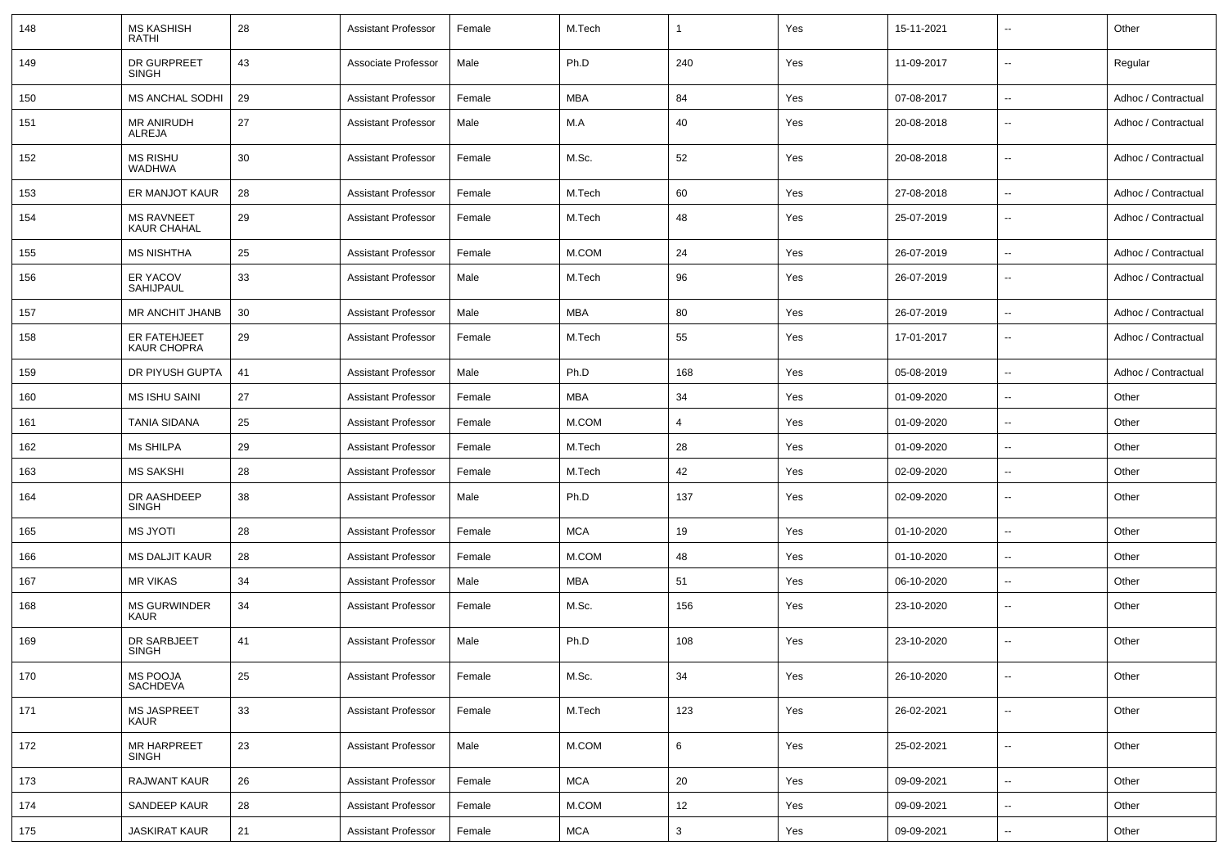| 148 | <b>MS KASHISH</b><br><b>RATHI</b>       | 28 | <b>Assistant Professor</b> | Female | M.Tech     |                | Yes | 15-11-2021 | $\sim$                   | Other               |
|-----|-----------------------------------------|----|----------------------------|--------|------------|----------------|-----|------------|--------------------------|---------------------|
| 149 | DR GURPREET<br><b>SINGH</b>             | 43 | Associate Professor        | Male   | Ph.D       | 240            | Yes | 11-09-2017 | $\overline{\phantom{a}}$ | Regular             |
| 150 | MS ANCHAL SODHI                         | 29 | Assistant Professor        | Female | MBA        | 84             | Yes | 07-08-2017 | $\overline{\phantom{a}}$ | Adhoc / Contractual |
| 151 | <b>MR ANIRUDH</b><br><b>ALREJA</b>      | 27 | <b>Assistant Professor</b> | Male   | M.A        | 40             | Yes | 20-08-2018 | $\overline{\phantom{a}}$ | Adhoc / Contractual |
| 152 | <b>MS RISHU</b><br><b>WADHWA</b>        | 30 | Assistant Professor        | Female | M.Sc.      | 52             | Yes | 20-08-2018 | $\overline{\phantom{a}}$ | Adhoc / Contractual |
| 153 | ER MANJOT KAUR                          | 28 | Assistant Professor        | Female | M.Tech     | 60             | Yes | 27-08-2018 | $\sim$                   | Adhoc / Contractual |
| 154 | <b>MS RAVNEET</b><br><b>KAUR CHAHAL</b> | 29 | Assistant Professor        | Female | M.Tech     | 48             | Yes | 25-07-2019 | $\overline{\phantom{a}}$ | Adhoc / Contractual |
| 155 | <b>MS NISHTHA</b>                       | 25 | <b>Assistant Professor</b> | Female | M.COM      | 24             | Yes | 26-07-2019 | $\overline{\phantom{a}}$ | Adhoc / Contractual |
| 156 | ER YACOV<br>SAHIJPAUL                   | 33 | <b>Assistant Professor</b> | Male   | M.Tech     | 96             | Yes | 26-07-2019 | $\sim$                   | Adhoc / Contractual |
| 157 | MR ANCHIT JHANB                         | 30 | <b>Assistant Professor</b> | Male   | MBA        | 80             | Yes | 26-07-2019 | $\sim$                   | Adhoc / Contractual |
| 158 | ER FATEHJEET<br><b>KAUR CHOPRA</b>      | 29 | <b>Assistant Professor</b> | Female | M.Tech     | 55             | Yes | 17-01-2017 | $\overline{\phantom{a}}$ | Adhoc / Contractual |
| 159 | DR PIYUSH GUPTA                         | 41 | Assistant Professor        | Male   | Ph.D       | 168            | Yes | 05-08-2019 | $\sim$                   | Adhoc / Contractual |
| 160 | <b>MS ISHU SAINI</b>                    | 27 | <b>Assistant Professor</b> | Female | MBA        | 34             | Yes | 01-09-2020 | $\overline{\phantom{a}}$ | Other               |
| 161 | <b>TANIA SIDANA</b>                     | 25 | <b>Assistant Professor</b> | Female | M.COM      | $\overline{4}$ | Yes | 01-09-2020 | $\overline{\phantom{a}}$ | Other               |
| 162 | Ms SHILPA                               | 29 | Assistant Professor        | Female | M.Tech     | 28             | Yes | 01-09-2020 | $\overline{\phantom{a}}$ | Other               |
| 163 | <b>MS SAKSHI</b>                        | 28 | <b>Assistant Professor</b> | Female | M.Tech     | 42             | Yes | 02-09-2020 | $\overline{\phantom{a}}$ | Other               |
| 164 | DR AASHDEEP<br>SINGH                    | 38 | <b>Assistant Professor</b> | Male   | Ph.D       | 137            | Yes | 02-09-2020 | $\sim$                   | Other               |
| 165 | <b>MS JYOTI</b>                         | 28 | <b>Assistant Professor</b> | Female | <b>MCA</b> | 19             | Yes | 01-10-2020 | $\overline{\phantom{a}}$ | Other               |
| 166 | <b>MS DALJIT KAUR</b>                   | 28 | <b>Assistant Professor</b> | Female | M.COM      | 48             | Yes | 01-10-2020 | $\sim$                   | Other               |
| 167 | <b>MR VIKAS</b>                         | 34 | <b>Assistant Professor</b> | Male   | MBA        | 51             | Yes | 06-10-2020 | $\overline{\phantom{a}}$ | Other               |
| 168 | <b>MS GURWINDER</b><br><b>KAUR</b>      | 34 | Assistant Professor        | Female | M.Sc.      | 156            | Yes | 23-10-2020 | $\overline{\phantom{a}}$ | Other               |
| 169 | DR SARBJEET<br><b>SINGH</b>             | 41 | <b>Assistant Professor</b> | Male   | Ph.D       | 108            | Yes | 23-10-2020 | $\overline{\phantom{a}}$ | Other               |
| 170 | MS POOJA<br>SACHDEVA                    | 25 | <b>Assistant Professor</b> | Female | M.Sc.      | 34             | Yes | 26-10-2020 | $\overline{\phantom{a}}$ | Other               |
| 171 | MS JASPREET<br>KAUR                     | 33 | <b>Assistant Professor</b> | Female | M.Tech     | 123            | Yes | 26-02-2021 | $\overline{\phantom{a}}$ | Other               |
| 172 | <b>MR HARPREET</b><br>SINGH             | 23 | <b>Assistant Professor</b> | Male   | M.COM      | 6              | Yes | 25-02-2021 | $\overline{\phantom{a}}$ | Other               |
| 173 | <b>RAJWANT KAUR</b>                     | 26 | <b>Assistant Professor</b> | Female | <b>MCA</b> | 20             | Yes | 09-09-2021 | $\overline{\phantom{a}}$ | Other               |
| 174 | SANDEEP KAUR                            | 28 | <b>Assistant Professor</b> | Female | M.COM      | 12             | Yes | 09-09-2021 | $\overline{\phantom{a}}$ | Other               |
| 175 | <b>JASKIRAT KAUR</b>                    | 21 | <b>Assistant Professor</b> | Female | <b>MCA</b> | 3              | Yes | 09-09-2021 | $\overline{\phantom{a}}$ | Other               |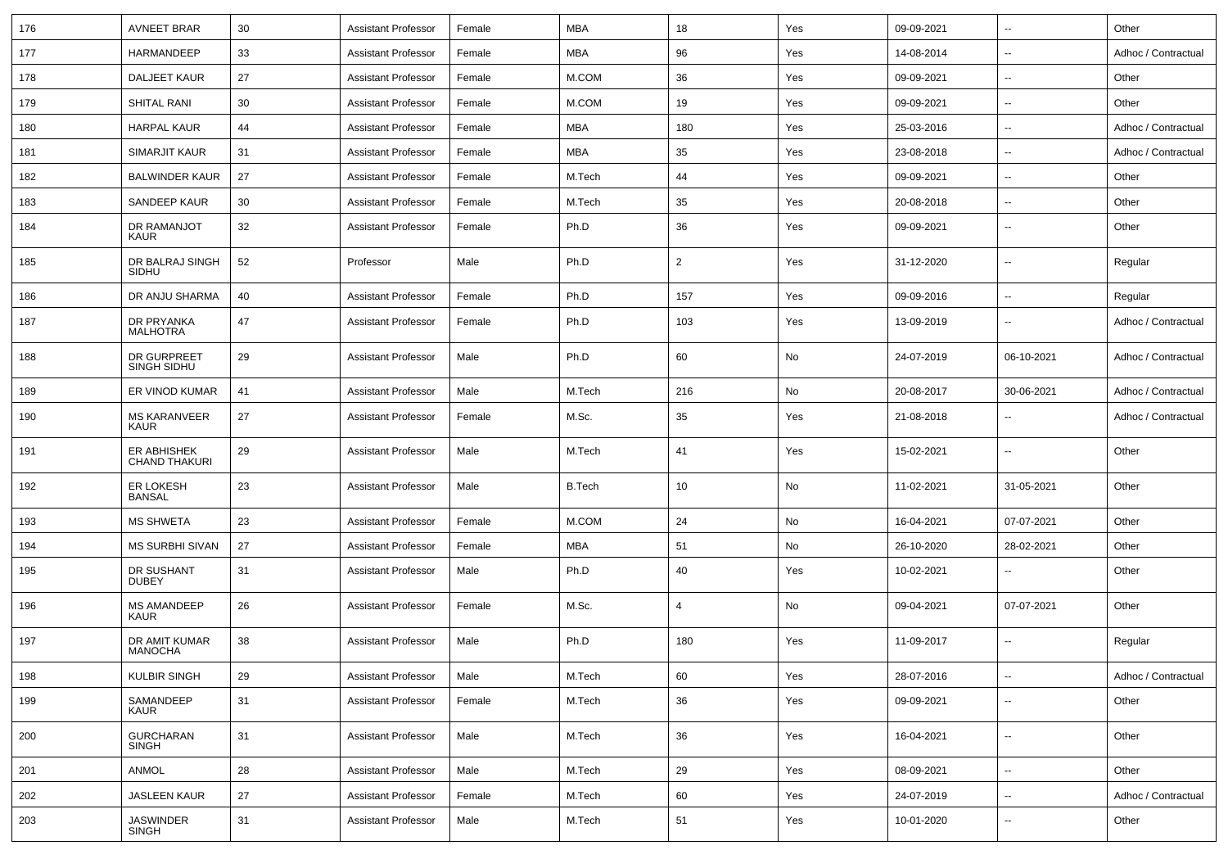| 176 | <b>AVNEET BRAR</b>                  | 30 | <b>Assistant Professor</b> | Female | <b>MBA</b>    | 18  | Yes | 09-09-2021 | $\overline{\phantom{a}}$ | Other               |
|-----|-------------------------------------|----|----------------------------|--------|---------------|-----|-----|------------|--------------------------|---------------------|
| 177 | HARMANDEEP                          | 33 | <b>Assistant Professor</b> | Female | MBA           | 96  | Yes | 14-08-2014 | $\overline{\phantom{a}}$ | Adhoc / Contractual |
| 178 | DALJEET KAUR                        | 27 | <b>Assistant Professor</b> | Female | M.COM         | 36  | Yes | 09-09-2021 | $\overline{\phantom{a}}$ | Other               |
| 179 | <b>SHITAL RANI</b>                  | 30 | <b>Assistant Professor</b> | Female | M.COM         | 19  | Yes | 09-09-2021 | $\overline{\phantom{a}}$ | Other               |
| 180 | <b>HARPAL KAUR</b>                  | 44 | <b>Assistant Professor</b> | Female | MBA           | 180 | Yes | 25-03-2016 | $\overline{\phantom{a}}$ | Adhoc / Contractual |
| 181 | <b>SIMARJIT KAUR</b>                | 31 | <b>Assistant Professor</b> | Female | <b>MBA</b>    | 35  | Yes | 23-08-2018 | $\overline{\phantom{a}}$ | Adhoc / Contractual |
| 182 | <b>BALWINDER KAUR</b>               | 27 | <b>Assistant Professor</b> | Female | M.Tech        | 44  | Yes | 09-09-2021 | $\overline{\phantom{a}}$ | Other               |
| 183 | SANDEEP KAUR                        | 30 | <b>Assistant Professor</b> | Female | M.Tech        | 35  | Yes | 20-08-2018 | ⊶.                       | Other               |
| 184 | DR RAMANJOT<br>KAUR                 | 32 | <b>Assistant Professor</b> | Female | Ph.D          | 36  | Yes | 09-09-2021 | $\overline{\phantom{a}}$ | Other               |
| 185 | DR BALRAJ SINGH<br>SIDHU            | 52 | Professor                  | Male   | Ph.D          | 2   | Yes | 31-12-2020 | $\overline{\phantom{a}}$ | Regular             |
| 186 | DR ANJU SHARMA                      | 40 | <b>Assistant Professor</b> | Female | Ph.D          | 157 | Yes | 09-09-2016 | $\overline{\phantom{a}}$ | Regular             |
| 187 | DR PRYANKA<br><b>MALHOTRA</b>       | 47 | <b>Assistant Professor</b> | Female | Ph.D          | 103 | Yes | 13-09-2019 | $\overline{\phantom{a}}$ | Adhoc / Contractual |
| 188 | DR GURPREET<br>SINGH SIDHU          | 29 | <b>Assistant Professor</b> | Male   | Ph.D          | 60  | No  | 24-07-2019 | 06-10-2021               | Adhoc / Contractual |
| 189 | ER VINOD KUMAR                      | 41 | <b>Assistant Professor</b> | Male   | M.Tech        | 216 | No  | 20-08-2017 | 30-06-2021               | Adhoc / Contractual |
| 190 | <b>MS KARANVEER</b><br>KAUR         | 27 | <b>Assistant Professor</b> | Female | M.Sc.         | 35  | Yes | 21-08-2018 | $\overline{\phantom{a}}$ | Adhoc / Contractual |
| 191 | ER ABHISHEK<br><b>CHAND THAKURI</b> | 29 | <b>Assistant Professor</b> | Male   | M.Tech        | 41  | Yes | 15-02-2021 | $\overline{\phantom{a}}$ | Other               |
| 192 | ER LOKESH<br><b>BANSAL</b>          | 23 | <b>Assistant Professor</b> | Male   | <b>B.Tech</b> | 10  | No  | 11-02-2021 | 31-05-2021               | Other               |
| 193 | <b>MS SHWETA</b>                    | 23 | <b>Assistant Professor</b> | Female | M.COM         | 24  | No  | 16-04-2021 | 07-07-2021               | Other               |
| 194 | <b>MS SURBHI SIVAN</b>              | 27 | <b>Assistant Professor</b> | Female | <b>MBA</b>    | 51  | No  | 26-10-2020 | 28-02-2021               | Other               |
| 195 | DR SUSHANT<br><b>DUBEY</b>          | 31 | <b>Assistant Professor</b> | Male   | Ph.D          | 40  | Yes | 10-02-2021 | $\overline{\phantom{a}}$ | Other               |
| 196 | <b>MS AMANDEEP</b><br>KAUR          | 26 | <b>Assistant Professor</b> | Female | M.Sc.         | 4   | No  | 09-04-2021 | 07-07-2021               | Other               |
| 197 | DR AMIT KUMAR<br><b>MANOCHA</b>     | 38 | <b>Assistant Professor</b> | Male   | Ph.D          | 180 | Yes | 11-09-2017 | $\overline{\phantom{a}}$ | Regular             |
| 198 | <b>KULBIR SINGH</b>                 | 29 | <b>Assistant Professor</b> | Male   | M.Tech        | 60  | Yes | 28-07-2016 | $\overline{\phantom{a}}$ | Adhoc / Contractual |
| 199 | SAMANDEEP<br>KAUR                   | 31 | <b>Assistant Professor</b> | Female | M.Tech        | 36  | Yes | 09-09-2021 | н,                       | Other               |
| 200 | <b>GURCHARAN</b><br><b>SINGH</b>    | 31 | <b>Assistant Professor</b> | Male   | M.Tech        | 36  | Yes | 16-04-2021 | $\overline{\phantom{a}}$ | Other               |
| 201 | ANMOL                               | 28 | <b>Assistant Professor</b> | Male   | M.Tech        | 29  | Yes | 08-09-2021 | $\overline{\phantom{a}}$ | Other               |
| 202 | <b>JASLEEN KAUR</b>                 | 27 | Assistant Professor        | Female | M.Tech        | 60  | Yes | 24-07-2019 | $\overline{\phantom{a}}$ | Adhoc / Contractual |
| 203 | JASWINDER<br>SINGH                  | 31 | <b>Assistant Professor</b> | Male   | M.Tech        | 51  | Yes | 10-01-2020 | $\overline{\phantom{a}}$ | Other               |